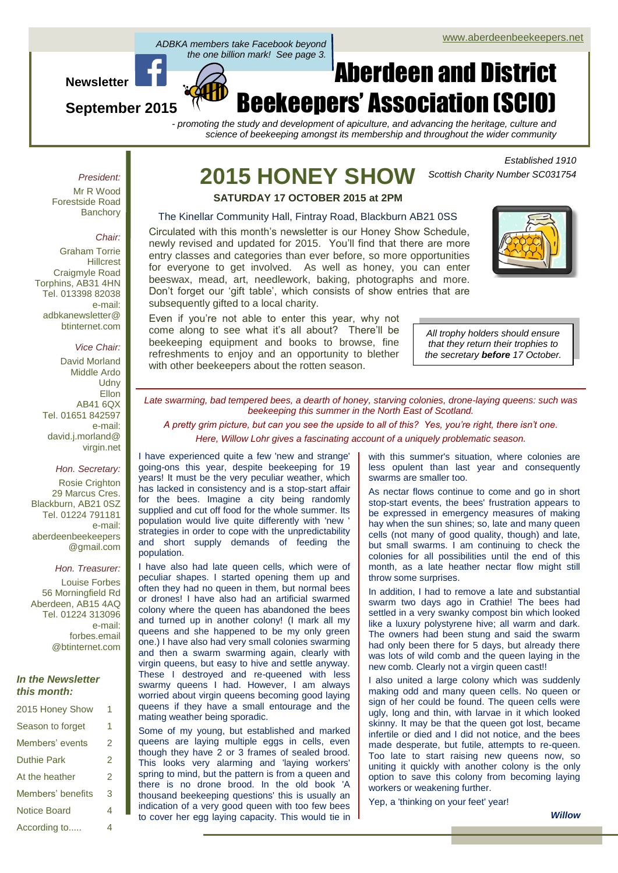#### Page 1 of 4 ADBKA members take Facebook beyond<br>the one billion mark! See page 3. *ADBKA members take Facebook beyond*

**Newsletter**

**September 2015**

# Aberdeen and District Beekeepers' Association (SCIO)

*- promoting the study and development of apiculture, and advancing the heritage, culture and science of beekeeping amongst its membership and throughout the wider community*

> *Established 1910 Scottish Charity Number SC031754*

*President:* Mr R Wood Forestside Road **Banchory** 

#### *Chair:*

Graham Torrie **Hillcrest** Craigmyle Road Torphins, AB31 4HN Tel. 013398 82038 e-mail: adbkanewsletter@ btinternet.com

#### *Vice Chair:*

David Morland Middle Ardo **Udny Ellon** AB41 6QX Tel. 01651 842597 e-mail: david.j.morland@ virgin.net

*Hon. Secretary:* Rosie Crighton 29 Marcus Cres. Blackburn, AB21 0SZ Tel. 01224 791181 e-mail: aberdeenbeekeepers

*Hon. Treasurer:*

@gmail.com

Louise Forbes 56 Morningfield Rd Aberdeen, AB15 4AQ Tel. 01224 313096 e-mail: forbes.email @btinternet.com

#### *In the Newsletter this month:*

| 2015 Honey Show     | 1 |
|---------------------|---|
| Season to forget    | 1 |
| Members' events     | 2 |
| <b>Duthie Park</b>  | 2 |
| At the heather      | 2 |
| Members' benefits   | 3 |
| <b>Notice Board</b> | 4 |
| According to        | 4 |

# **2015 HONEY SHOW**

**SATURDAY 17 OCTOBER 2015 at 2PM**

#### The Kinellar Community Hall, Fintray Road, Blackburn AB21 0SS

Circulated with this month's newsletter is our Honey Show Schedule, newly revised and updated for 2015. You'll find that there are more entry classes and categories than ever before, so more opportunities for everyone to get involved. As well as honey, you can enter beeswax, mead, art, needlework, baking, photographs and more. Don't forget our 'gift table', which consists of show entries that are subsequently gifted to a local charity.

Even if you're not able to enter this year, why not come along to see what it's all about? There'll be beekeeping equipment and books to browse, fine refreshments to enjoy and an opportunity to blether with other beekeepers about the rotten season.

*All trophy holders should ensure that they return their trophies to the secretary before 17 October.*

*Late swarming, bad tempered bees, a dearth of honey, starving colonies, drone-laying queens: such was beekeeping this summer in the North East of Scotland.*

*A pretty grim picture, but can you see the upside to all of this? Yes, you're right, there isn't one. Here, Willow Lohr gives a fascinating account of a uniquely problematic season.*

I have experienced quite a few 'new and strange' going-ons this year, despite beekeeping for 19 years! It must be the very peculiar weather, which has lacked in consistency and is a stop-start affair for the bees. Imagine a city being randomly supplied and cut off food for the whole summer. Its population would live quite differently with 'new ' strategies in order to cope with the unpredictability and short supply demands of feeding the population.

I have also had late queen cells, which were of peculiar shapes. I started opening them up and often they had no queen in them, but normal bees or drones! I have also had an artificial swarmed colony where the queen has abandoned the bees and turned up in another colony! (I mark all my queens and she happened to be my only green one.) I have also had very small colonies swarming and then a swarm swarming again, clearly with virgin queens, but easy to hive and settle anyway. These I destroyed and re-queened with less swarmy queens I had. However, I am always worried about virgin queens becoming good laying queens if they have a small entourage and the mating weather being sporadic.

Some of my young, but established and marked queens are laying multiple eggs in cells, even though they have 2 or 3 frames of sealed brood. This looks very alarming and 'laying workers' spring to mind, but the pattern is from a queen and there is no drone brood. In the old book 'A thousand beekeeping questions' this is usually an indication of a very good queen with too few bees to cover her egg laying capacity. This would tie in with this summer's situation, where colonies are less opulent than last year and consequently swarms are smaller too.

As nectar flows continue to come and go in short stop-start events, the bees' frustration appears to be expressed in emergency measures of making hay when the sun shines; so, late and many queen cells (not many of good quality, though) and late, but small swarms. I am continuing to check the colonies for all possibilities until the end of this month, as a late heather nectar flow might still throw some surprises.

In addition, I had to remove a late and substantial swarm two days ago in Crathie! The bees had settled in a very swanky compost bin which looked like a luxury polystyrene hive; all warm and dark. The owners had been stung and said the swarm had only been there for 5 days, but already there was lots of wild comb and the queen laying in the new comb. Clearly not a virgin queen cast!!

I also united a large colony which was suddenly making odd and many queen cells. No queen or sign of her could be found. The queen cells were ugly, long and thin, with larvae in it which looked skinny. It may be that the queen got lost, became infertile or died and I did not notice, and the bees made desperate, but futile, attempts to re-queen. Too late to start raising new queens now, so uniting it quickly with another colony is the only option to save this colony from becoming laying workers or weakening further.

Yep, a 'thinking on your feet' year!

*Willow*

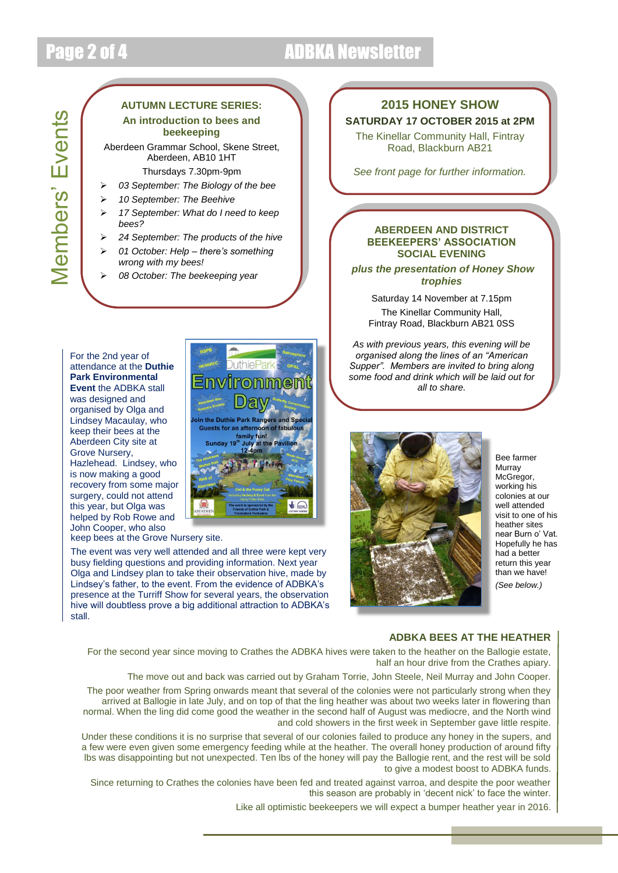## Page 2 of 4 ADBKA Newsletter

# Members' Events Members' Events

#### **AUTUMN LECTURE SERIES: An introduction to bees and beekeeping**

Aberdeen Grammar School, Skene Street, Aberdeen, AB10 1HT

#### Thursdays 7.30pm-9pm

- *03 September: The Biology of the bee*
- *10 September: The Beehive*
- *17 September: What do I need to keep bees?*
- *24 September: The products of the hive*
- *01 October: Help – there's something wrong with my bees!*
- *08 October: The beekeeping year*

#### For the 2nd year of attendance at the **Duthie Park Environmental Event** the ADBKA stall was designed and organised by Olga and Lindsey Macaulay, who keep their bees at the Aberdeen City site at Grove Nursery, Hazlehead. Lindsey, who is now making a good recovery from some major surgery, could not attend this year, but Olga was helped by Rob Rowe and John Cooper, who also

keep bees at the Grove Nursery site.

The event was very well attended and all three were kept very busy fielding questions and providing information. Next year Olga and Lindsey plan to take their observation hive, made by Lindsey's father, to the event. From the evidence of ADBKA's presence at the Turriff Show for several years, the observation hive will doubtless prove a big additional attraction to ADBKA's stall.

# **onmen** oin the Duthie Park Rangers and Sp **Guests for an aftern**  $6C$

#### **2015 HONEY SHOW SATURDAY 17 OCTOBER 2015 at 2PM**

The Kinellar Community Hall, Fintray Road, Blackburn AB21

*See front page for further information.*

#### **ABERDEEN AND DISTRICT BEEKEEPERS' ASSOCIATION SOCIAL EVENING**

*plus the presentation of Honey Show trophies*

Saturday 14 November at 7.15pm The Kinellar Community Hall, Fintray Road, Blackburn AB21 0SS

*As with previous years, this evening will be organised along the lines of an "American Supper". Members are invited to bring along some food and drink which will be laid out for all to share.*



Bee farmer Murray McGregor, working his colonies at our well attended visit to one of his heather sites near Burn o' Vat. Hopefully he has had a better return this year than we have! *(See below.)*

#### **ADBKA BEES AT THE HEATHER**

For the second year since moving to Crathes the ADBKA hives were taken to the heather on the Ballogie estate, half an hour drive from the Crathes apiary.

The move out and back was carried out by Graham Torrie, John Steele, Neil Murray and John Cooper.

The poor weather from Spring onwards meant that several of the colonies were not particularly strong when they arrived at Ballogie in late July, and on top of that the ling heather was about two weeks later in flowering than normal. When the ling did come good the weather in the second half of August was mediocre, and the North wind and cold showers in the first week in September gave little respite.

Under these conditions it is no surprise that several of our colonies failed to produce any honey in the supers, and a few were even given some emergency feeding while at the heather. The overall honey production of around fifty lbs was disappointing but not unexpected. Ten lbs of the honey will pay the Ballogie rent, and the rest will be sold to give a modest boost to ADBKA funds.

Since returning to Crathes the colonies have been fed and treated against varroa, and despite the poor weather this season are probably in 'decent nick' to face the winter.

Like all optimistic beekeepers we will expect a bumper heather year in 2016.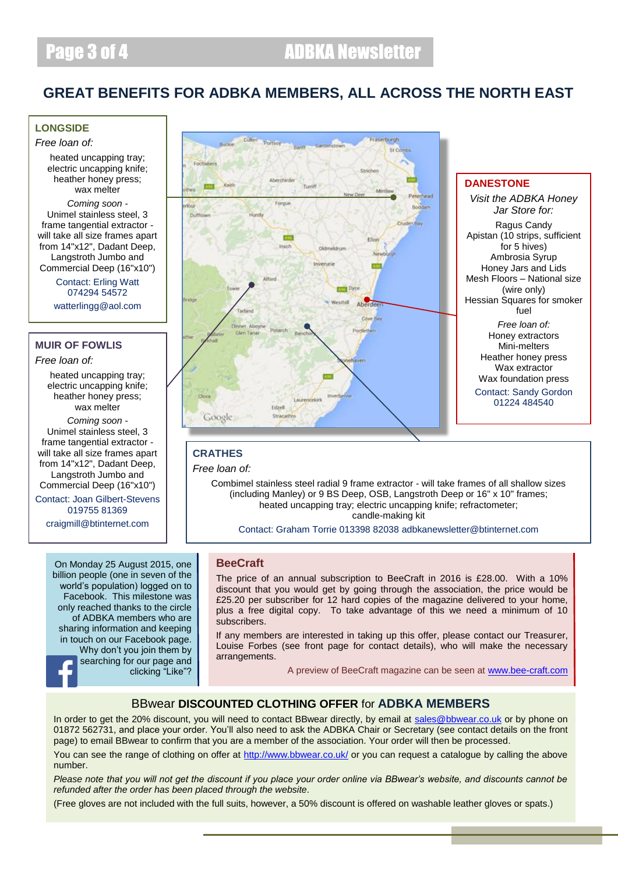#### **GREAT BENEFITS FOR ADBKA MEMBERS, ALL ACROSS THE NORTH EAST**

#### **LONGSIDE**

*Free loan of:*

heated uncapping tray: electric uncapping knife; heather honey press; wax melter

*Coming soon -* Unimel stainless steel, 3 frame tangential extractor will take all size frames apart from 14"x12", Dadant Deep, Langstroth Jumbo and Commercial Deep (16"x10")

> Contact: Erling Watt 074294 54572 watterlingg@aol.com

#### **MUIR OF FOWLIS**

*Free loan of:*

heated uncapping tray; electric uncapping knife; heather honey press; wax melter

*Coming soon -* Unimel stainless steel, 3 frame tangential extractor will take all size frames apart from 14"x12", Dadant Deep, Langstroth Jumbo and Commercial Deep (16"x10")

Contact: Joan Gilbert-Stevens 019755 81369

craigmill@btinternet.com

On Monday 25 August 2015, one billion people (one in seven of the world's population) logged on to Facebook. This milestone was only reached thanks to the circle of ADBKA members who are sharing information and keeping in touch on our Facebook page. Why don't you join them by searching for our page and clicking "Like"?



#### **DANESTONE**

*Visit the ADBKA Honey Jar Store for:* Ragus Candy Apistan (10 strips, sufficient for 5 hives) Ambrosia Syrup Honey Jars and Lids Mesh Floors – National size (wire only) Hessian Squares for smoker fuel *Free loan of:* Honey extractors Mini-melters Heather honey press Wax extractor Wax foundation press Contact: Sandy Gordon 01224 484540

#### **CRATHES**

*Free loan of:*

Combimel stainless steel radial 9 frame extractor - will take frames of all shallow sizes (including Manley) or 9 BS Deep, OSB, Langstroth Deep or 16" x 10" frames; heated uncapping tray; electric uncapping knife; refractometer; candle-making kit

Contact: Graham Torrie 013398 82038 adbkanewsletter@btinternet.com

#### **BeeCraft**

The price of an annual subscription to BeeCraft in 2016 is £28.00. With a 10% discount that you would get by going through the association, the price would be £25.20 per subscriber for 12 hard copies of the magazine delivered to your home, plus a free digital copy. To take advantage of this we need a minimum of 10 subscribers.

If any members are interested in taking up this offer, please contact our Treasurer, Louise Forbes (see front page for contact details), who will make the necessary arrangements.

A preview of BeeCraft magazine can be seen at [www.bee-craft.com](http://www.bee-craft.com/)

#### BBwear **DISCOUNTED CLOTHING OFFER** for **ADBKA MEMBERS**

In order to get the 20% discount, you will need to contact BBwear directly, by email at [sales@bbwear.co.uk](mailto:sales@bbwear.co.uk) or by phone on 01872 562731, and place your order. You'll also need to ask the ADBKA Chair or Secretary (see contact details on the front page) to email BBwear to confirm that you are a member of the association. Your order will then be processed.

You can see the range of clothing on offer at<http://www.bbwear.co.uk/> or you can request a catalogue by calling the above number.

*Please note that you will not get the discount if you place your order online via BBwear's website, and discounts cannot be refunded after the order has been placed through the website.*

(Free gloves are not included with the full suits, however, a 50% discount is offered on washable leather gloves or spats.)